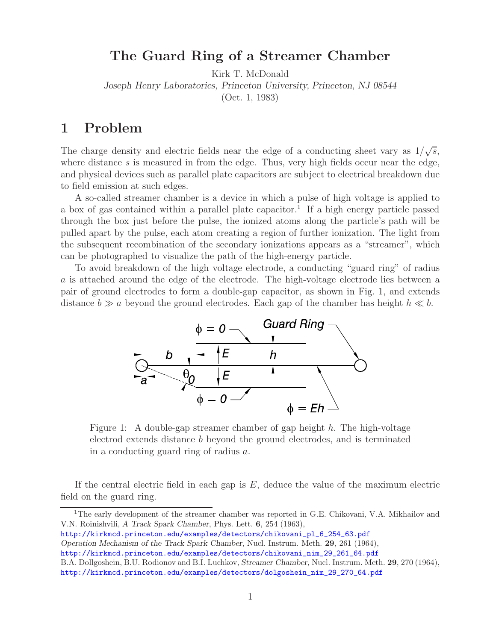## **The Guard Ring of a Streamer Chamber**

Kirk T. McDonald

*Joseph Henry Laboratories, Princeton University, Princeton, NJ 08544*

(Oct. 1, 1983)

## **1 Problem**

The charge density and electric fields near the edge of a conducting sheet vary as  $1/\sqrt{s}$ , where distance s is measured in from the edge. Thus, very high fields occur near the edge, and physical devices such as parallel plate capacitors are subject to electrical breakdown due to field emission at such edges.

A so-called streamer chamber is a device in which a pulse of high voltage is applied to a box of gas contained within a parallel plate capacitor.<sup>1</sup> If a high energy particle passed through the box just before the pulse, the ionized atoms along the particle's path will be pulled apart by the pulse, each atom creating a region of further ionization. The light from the subsequent recombination of the secondary ionizations appears as a "streamer", which can be photographed to visualize the path of the high-energy particle.

To avoid breakdown of the high voltage electrode, a conducting "guard ring" of radius a is attached around the edge of the electrode. The high-voltage electrode lies between a pair of ground electrodes to form a double-gap capacitor, as shown in Fig. 1, and extends distance  $b \gg a$  beyond the ground electrodes. Each gap of the chamber has height  $h \ll b$ .



Figure 1: A double-gap streamer chamber of gap height  $h$ . The high-voltage electrod extends distance b beyond the ground electrodes, and is terminated in a conducting guard ring of radius a.

If the central electric field in each gap is  $E$ , deduce the value of the maximum electric field on the guard ring.

http://kirkmcd.princeton.edu/examples/detectors/chikovani\_pl\_6\_254\_63.pdf *Operation Mechanism of the Track Spark Chamber*, Nucl. Instrum. Meth. **29**, 261 (1964),

http://kirkmcd.princeton.edu/examples/detectors/chikovani\_nim\_29\_261\_64.pdf

<sup>1</sup>The early development of the streamer chamber was reported in G.E. Chikovani, V.A. Mikhailov and V.N. Roinishvili, *A Track Spark Chamber*, Phys. Lett. **6**, 254 (1963),

B.A. Dollgoshein, B.U. Rodionov and B.I. Luchkov, *Streamer Chamber*, Nucl. Instrum. Meth. **29**, 270 (1964), http://kirkmcd.princeton.edu/examples/detectors/dolgoshein\_nim\_29\_270\_64.pdf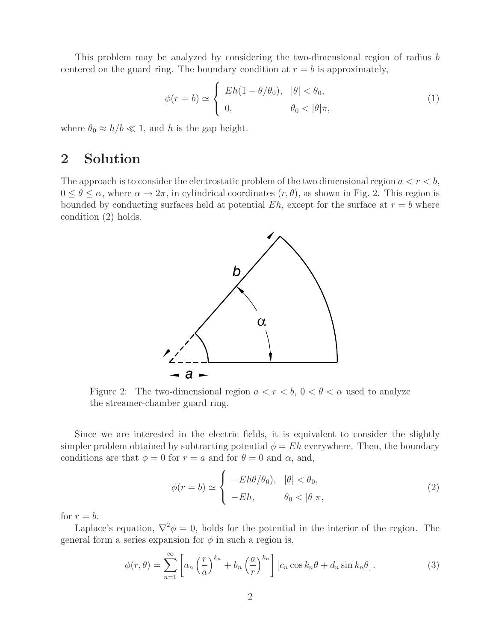This problem may be analyzed by considering the two-dimensional region of radius b centered on the guard ring. The boundary condition at  $r = b$  is approximately,

$$
\phi(r=b) \simeq \begin{cases} Eh(1-\theta/\theta_0), & |\theta| < \theta_0, \\ 0, & \theta_0 < |\theta|\pi, \end{cases}
$$
 (1)

where  $\theta_0 \approx h/b \ll 1$ , and h is the gap height.

## **2 Solution**

The approach is to consider the electrostatic problem of the two dimensional region  $a < r < b$ ,  $0 \le \theta \le \alpha$ , where  $\alpha \to 2\pi$ , in cylindrical coordinates  $(r, \theta)$ , as shown in Fig. 2. This region is bounded by conducting surfaces held at potential  $Eh$ , except for the surface at  $r = b$  where condition (2) holds.



Figure 2: The two-dimensional region  $a < r < b$ ,  $0 < \theta < \alpha$  used to analyze the streamer-chamber guard ring.

Since we are interested in the electric fields, it is equivalent to consider the slightly simpler problem obtained by subtracting potential  $\phi = Eh$  everywhere. Then, the boundary conditions are that  $\phi = 0$  for  $r = a$  and for  $\theta = 0$  and  $\alpha$ , and,

$$
\phi(r=b) \simeq \begin{cases}\n- Eh\theta/\theta_0, & |\theta| < \theta_0, \\
-Eh, & \theta_0 < |\theta|\pi,\n\end{cases}
$$
\n(2)

for  $r = b$ .

Laplace's equation,  $\nabla^2 \phi = 0$ , holds for the potential in the interior of the region. The general form a series expansion for  $\phi$  in such a region is,

$$
\phi(r,\theta) = \sum_{n=1}^{\infty} \left[ a_n \left( \frac{r}{a} \right)^{k_n} + b_n \left( \frac{a}{r} \right)^{k_n} \right] \left[ c_n \cos k_n \theta + d_n \sin k_n \theta \right]. \tag{3}
$$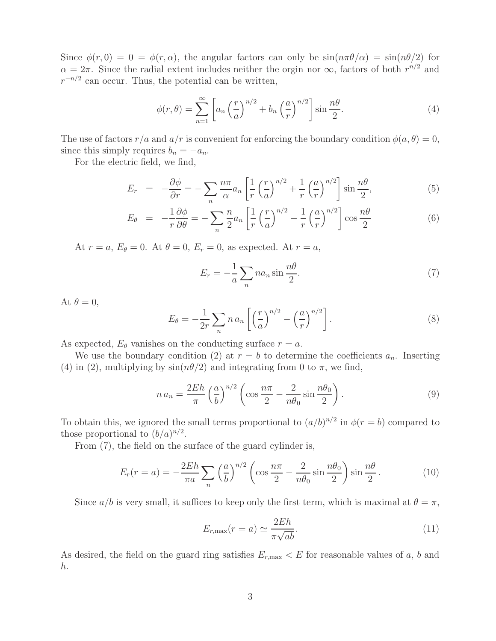Since  $\phi(r, 0) = 0 = \phi(r, \alpha)$ , the angular factors can only be  $\sin(n\pi\theta/\alpha) = \sin(n\theta/2)$  for  $\alpha = 2\pi$ . Since the radial extent includes neither the orgin nor  $\infty$ , factors of both  $r^{n/2}$  and  $r^{-n/2}$  can occur. Thus, the potential can be written,

$$
\phi(r,\theta) = \sum_{n=1}^{\infty} \left[ a_n \left( \frac{r}{a} \right)^{n/2} + b_n \left( \frac{a}{r} \right)^{n/2} \right] \sin \frac{n\theta}{2}.
$$
 (4)

The use of factors  $r/a$  and  $a/r$  is convenient for enforcing the boundary condition  $\phi(a, \theta) = 0$ , since this simply requires  $b_n = -a_n$ .

For the electric field, we find,

$$
E_r = -\frac{\partial \phi}{\partial r} = -\sum_n \frac{n\pi}{\alpha} a_n \left[ \frac{1}{r} \left( \frac{r}{a} \right)^{n/2} + \frac{1}{r} \left( \frac{a}{r} \right)^{n/2} \right] \sin \frac{n\theta}{2},\tag{5}
$$

$$
E_{\theta} = -\frac{1}{r}\frac{\partial\phi}{\partial\theta} = -\sum_{n} \frac{n}{2} a_n \left[ \frac{1}{r} \left(\frac{r}{a}\right)^{n/2} - \frac{1}{r} \left(\frac{a}{r}\right)^{n/2} \right] \cos\frac{n\theta}{2}
$$
(6)

At  $r = a$ ,  $E_{\theta} = 0$ . At  $\theta = 0$ ,  $E_r = 0$ , as expected. At  $r = a$ ,

$$
E_r = -\frac{1}{a} \sum_n n a_n \sin \frac{n\theta}{2}.
$$
 (7)

At  $\theta = 0$ ,

$$
E_{\theta} = -\frac{1}{2r} \sum_{n} n a_n \left[ \left( \frac{r}{a} \right)^{n/2} - \left( \frac{a}{r} \right)^{n/2} \right]. \tag{8}
$$

As expected,  $E_{\theta}$  vanishes on the conducting surface  $r = a$ .

We use the boundary condition (2) at  $r = b$  to determine the coefficients  $a_n$ . Inserting (4) in (2), multiplying by  $\sin(n\theta/2)$  and integrating from 0 to  $\pi$ , we find,

$$
n a_n = \frac{2Eh}{\pi} \left(\frac{a}{b}\right)^{n/2} \left(\cos \frac{n\pi}{2} - \frac{2}{n\theta_0} \sin \frac{n\theta_0}{2}\right).
$$
 (9)

To obtain this, we ignored the small terms proportional to  $(a/b)^{n/2}$  in  $\phi(r = b)$  compared to those proportional to  $(b/a)^{n/2}$ .

From (7), the field on the surface of the guard cylinder is,

$$
E_r(r=a) = -\frac{2Eh}{\pi a} \sum_n \left(\frac{a}{b}\right)^{n/2} \left(\cos\frac{n\pi}{2} - \frac{2}{n\theta_0}\sin\frac{n\theta_0}{2}\right) \sin\frac{n\theta}{2}.
$$
 (10)

Since  $a/b$  is very small, it suffices to keep only the first term, which is maximal at  $\theta = \pi$ ,

$$
E_{r,\max}(r=a) \simeq \frac{2Eh}{\pi\sqrt{ab}}.\tag{11}
$$

As desired, the field on the guard ring satisfies  $E_{r,\text{max}} < E$  for reasonable values of a, b and h.